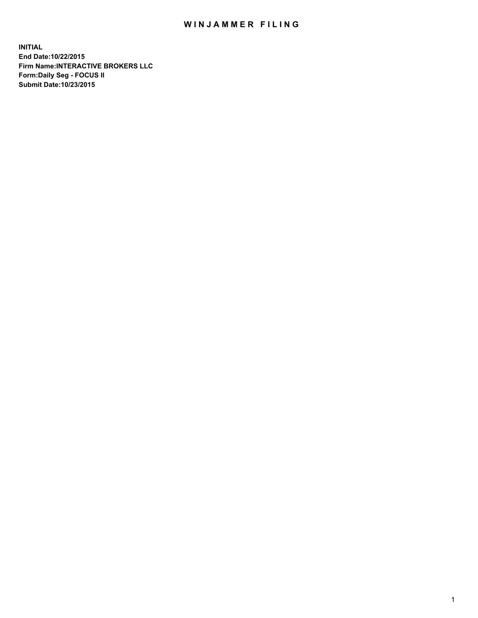## WIN JAMMER FILING

**INITIAL End Date:10/22/2015 Firm Name:INTERACTIVE BROKERS LLC Form:Daily Seg - FOCUS II Submit Date:10/23/2015**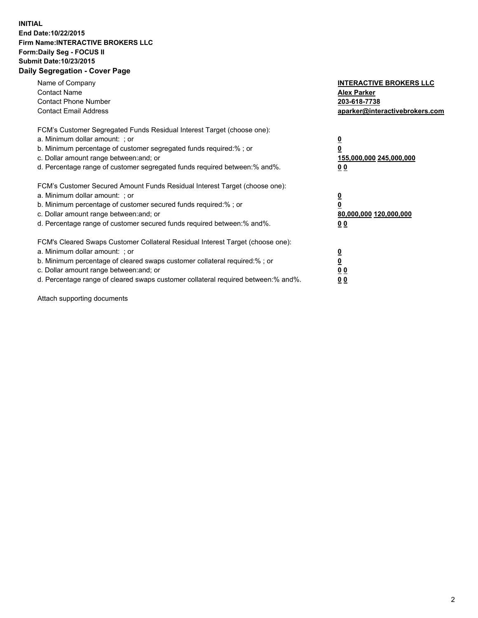## **INITIAL End Date:10/22/2015 Firm Name:INTERACTIVE BROKERS LLC Form:Daily Seg - FOCUS II Submit Date:10/23/2015 Daily Segregation - Cover Page**

| Name of Company<br><b>Contact Name</b><br><b>Contact Phone Number</b><br><b>Contact Email Address</b>                                                                                                                                                                                                                          | <b>INTERACTIVE BROKERS LLC</b><br><b>Alex Parker</b><br>203-618-7738<br>aparker@interactivebrokers.com |
|--------------------------------------------------------------------------------------------------------------------------------------------------------------------------------------------------------------------------------------------------------------------------------------------------------------------------------|--------------------------------------------------------------------------------------------------------|
| FCM's Customer Segregated Funds Residual Interest Target (choose one):<br>a. Minimum dollar amount: ; or<br>b. Minimum percentage of customer segregated funds required:% ; or<br>c. Dollar amount range between: and; or<br>d. Percentage range of customer segregated funds required between:% and%.                         | <u>0</u><br><u>155,000,000 245,000,000</u><br>00                                                       |
| FCM's Customer Secured Amount Funds Residual Interest Target (choose one):<br>a. Minimum dollar amount: ; or<br>b. Minimum percentage of customer secured funds required:%; or<br>c. Dollar amount range between: and; or<br>d. Percentage range of customer secured funds required between: % and %.                          | <u>0</u><br>80,000,000 120,000,000<br>0 <sub>0</sub>                                                   |
| FCM's Cleared Swaps Customer Collateral Residual Interest Target (choose one):<br>a. Minimum dollar amount: ; or<br>b. Minimum percentage of cleared swaps customer collateral required:% ; or<br>c. Dollar amount range between: and; or<br>d. Percentage range of cleared swaps customer collateral required between:% and%. | <u>0</u><br>0 <sub>0</sub><br><u>0 0</u>                                                               |

Attach supporting documents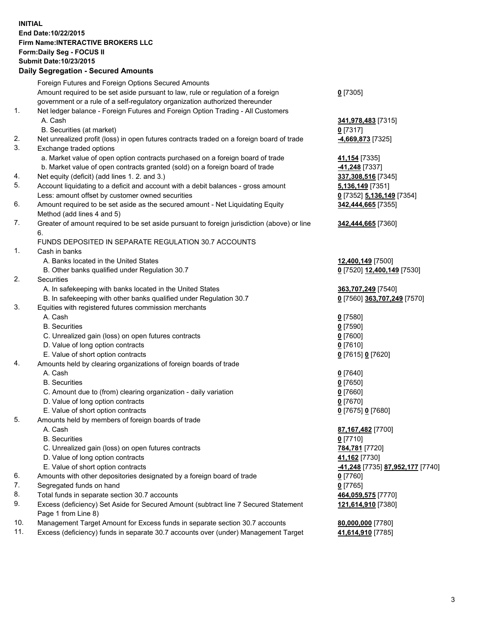## **INITIAL End Date:10/22/2015 Firm Name:INTERACTIVE BROKERS LLC Form:Daily Seg - FOCUS II Submit Date:10/23/2015 Daily Segregation - Secured Amounts**

|     | Dany Ocgregation - Oceanea Annoanta                                                                        |                                  |
|-----|------------------------------------------------------------------------------------------------------------|----------------------------------|
|     | Foreign Futures and Foreign Options Secured Amounts                                                        |                                  |
|     | Amount required to be set aside pursuant to law, rule or regulation of a foreign                           | $0$ [7305]                       |
|     | government or a rule of a self-regulatory organization authorized thereunder                               |                                  |
| 1.  | Net ledger balance - Foreign Futures and Foreign Option Trading - All Customers                            |                                  |
|     | A. Cash                                                                                                    | 341,978,483 [7315]               |
|     | B. Securities (at market)                                                                                  | 0 [7317]                         |
| 2.  | Net unrealized profit (loss) in open futures contracts traded on a foreign board of trade                  | -4,669,873 [7325]                |
| 3.  | Exchange traded options                                                                                    |                                  |
|     | a. Market value of open option contracts purchased on a foreign board of trade                             | 41,154 [7335]                    |
|     | b. Market value of open contracts granted (sold) on a foreign board of trade                               | 41,248 [7337]                    |
| 4.  | Net equity (deficit) (add lines 1.2. and 3.)                                                               | 337,308,516 [7345]               |
| 5.  | Account liquidating to a deficit and account with a debit balances - gross amount                          | 5,136,149 [7351]                 |
|     | Less: amount offset by customer owned securities                                                           | 0 [7352] 5,136,149 [7354]        |
| 6.  | Amount required to be set aside as the secured amount - Net Liquidating Equity                             | 342,444,665 [7355]               |
|     | Method (add lines 4 and 5)                                                                                 |                                  |
| 7.  | Greater of amount required to be set aside pursuant to foreign jurisdiction (above) or line                | 342,444,665 [7360]               |
|     | 6.                                                                                                         |                                  |
|     | FUNDS DEPOSITED IN SEPARATE REGULATION 30.7 ACCOUNTS                                                       |                                  |
| 1.  | Cash in banks                                                                                              |                                  |
|     | A. Banks located in the United States                                                                      | 12,400,149 [7500]                |
|     | B. Other banks qualified under Regulation 30.7                                                             | 0 [7520] 12,400,149 [7530]       |
| 2.  | Securities                                                                                                 |                                  |
|     | A. In safekeeping with banks located in the United States                                                  | 363,707,249 [7540]               |
|     | B. In safekeeping with other banks qualified under Regulation 30.7                                         | 0 [7560] 363,707,249 [7570]      |
| 3.  | Equities with registered futures commission merchants                                                      |                                  |
|     | A. Cash                                                                                                    | $0$ [7580]                       |
|     | <b>B.</b> Securities                                                                                       | $0$ [7590]                       |
|     | C. Unrealized gain (loss) on open futures contracts                                                        | $0$ [7600]                       |
|     | D. Value of long option contracts                                                                          | $0$ [7610]                       |
|     | E. Value of short option contracts                                                                         | 0 [7615] 0 [7620]                |
| 4.  | Amounts held by clearing organizations of foreign boards of trade                                          |                                  |
|     | A. Cash                                                                                                    | $0$ [7640]                       |
|     | <b>B.</b> Securities                                                                                       | $0$ [7650]                       |
|     | C. Amount due to (from) clearing organization - daily variation                                            | $0$ [7660]                       |
|     | D. Value of long option contracts                                                                          | $0$ [7670]                       |
| 5.  | E. Value of short option contracts                                                                         | 0 [7675] 0 [7680]                |
|     | Amounts held by members of foreign boards of trade                                                         |                                  |
|     | A. Cash                                                                                                    | 87,167,482 [7700]                |
|     | <b>B.</b> Securities                                                                                       | $0$ [7710]                       |
|     | C. Unrealized gain (loss) on open futures contracts                                                        | 784,781 [7720]                   |
|     | D. Value of long option contracts                                                                          | 41,162 [7730]                    |
|     | E. Value of short option contracts                                                                         | -41,248 [7735] 87,952,177 [7740] |
| 6.  | Amounts with other depositories designated by a foreign board of trade                                     | 0 [7760]                         |
| 7.  | Segregated funds on hand                                                                                   | $0$ [7765]                       |
| 8.  | Total funds in separate section 30.7 accounts                                                              | 464,059,575 [7770]               |
| 9.  | Excess (deficiency) Set Aside for Secured Amount (subtract line 7 Secured Statement<br>Page 1 from Line 8) | 121,614,910 [7380]               |
| 10. | Management Target Amount for Excess funds in separate section 30.7 accounts                                | 80,000,000 [7780]                |
| 11. | Excess (deficiency) funds in separate 30.7 accounts over (under) Management Target                         | 41,614,910 [7785]                |
|     |                                                                                                            |                                  |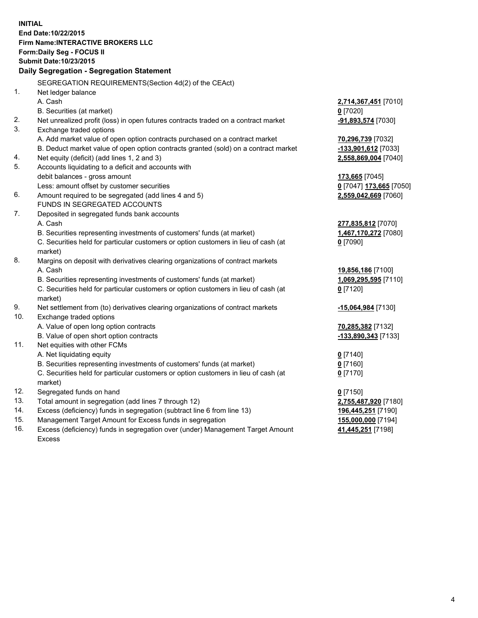**INITIAL End Date:10/22/2015 Firm Name:INTERACTIVE BROKERS LLC Form:Daily Seg - FOCUS II Submit Date:10/23/2015 Daily Segregation - Segregation Statement** SEGREGATION REQUIREMENTS(Section 4d(2) of the CEAct) 1. Net ledger balance A. Cash **2,714,367,451** [7010] B. Securities (at market) **0** [7020] 2. Net unrealized profit (loss) in open futures contracts traded on a contract market **-91,893,574** [7030] 3. Exchange traded options A. Add market value of open option contracts purchased on a contract market **70,296,739** [7032] B. Deduct market value of open option contracts granted (sold) on a contract market **-133,901,612** [7033] 4. Net equity (deficit) (add lines 1, 2 and 3) **2,558,869,004** [7040] 5. Accounts liquidating to a deficit and accounts with debit balances - gross amount **173,665** [7045] Less: amount offset by customer securities **0** [7047] **173,665** [7050] 6. Amount required to be segregated (add lines 4 and 5) **2,559,042,669** [7060] FUNDS IN SEGREGATED ACCOUNTS 7. Deposited in segregated funds bank accounts A. Cash **277,835,812** [7070] B. Securities representing investments of customers' funds (at market) **1,467,170,272** [7080] C. Securities held for particular customers or option customers in lieu of cash (at market) **0** [7090] 8. Margins on deposit with derivatives clearing organizations of contract markets A. Cash **19,856,186** [7100] B. Securities representing investments of customers' funds (at market) **1,069,295,595** [7110] C. Securities held for particular customers or option customers in lieu of cash (at market) **0** [7120] 9. Net settlement from (to) derivatives clearing organizations of contract markets **-15,064,984** [7130] 10. Exchange traded options A. Value of open long option contracts **70,285,382** [7132] B. Value of open short option contracts **-133,890,343** [7133] 11. Net equities with other FCMs A. Net liquidating equity **0** [7140] B. Securities representing investments of customers' funds (at market) **0** [7160] C. Securities held for particular customers or option customers in lieu of cash (at market) **0** [7170] 12. Segregated funds on hand **0** [7150] 13. Total amount in segregation (add lines 7 through 12) **2,755,487,920** [7180] 14. Excess (deficiency) funds in segregation (subtract line 6 from line 13) **196,445,251** [7190] 15. Management Target Amount for Excess funds in segregation **155,000,000** [7194] **41,445,251** [7198]

16. Excess (deficiency) funds in segregation over (under) Management Target Amount Excess